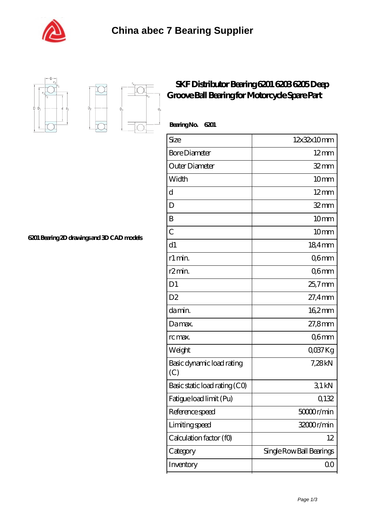



 $D_{a}$ 

Ď,

I

## **[SKF Distributor Bearing 6201 6203 6205 Deep](https://m.shawnwhisenant.com/6201-bearing/skf-6201.html) [Groove Ball Bearing for Motorcycle Spare Part](https://m.shawnwhisenant.com/6201-bearing/skf-6201.html)**

| BearingNo.<br>6201               |                          |
|----------------------------------|--------------------------|
| Size                             | 12x32x10mm               |
| <b>Bore Diameter</b>             | $12 \text{mm}$           |
| Outer Diameter                   | $32$ mm                  |
| Width                            | 10 <sub>mm</sub>         |
| $\mathbf d$                      | $12 \text{mm}$           |
| D                                | $32 \, \text{mm}$        |
| B                                | 10 <sub>mm</sub>         |
| $\overline{C}$                   | 10 <sub>mm</sub>         |
| d1                               | 184mm                    |
| r1 min.                          | Q6mm                     |
| r <sub>2</sub> min.              | Q6mm                     |
| D <sub>1</sub>                   | $25.7$ mm                |
| D2                               | $27.4$ mm                |
| da min.                          | 162mm                    |
| Damax.                           | 27,8mm                   |
| rc max.                          | Q6mm                     |
| Weight                           | QO37Kg                   |
| Basic dynamic load rating<br>(C) | 7,28kN                   |
| Basic static load rating (CO)    | 31kN                     |
| Fatigue load limit (Pu)          | 0,132                    |
| Reference speed                  | 50000r/min               |
| Limiting speed                   | 32000r/min               |
| Calculation factor (f0)          | 12                       |
| Category                         | Single Row Ball Bearings |
| Inventory                        | 00                       |

**[6201 Bearing 2D drawings and 3D CAD models](https://m.shawnwhisenant.com/pic-65268621.html)**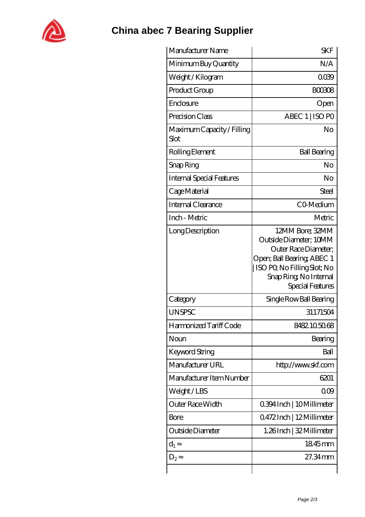

## **[China abec 7 Bearing Supplier](https://m.shawnwhisenant.com)**

| Manufacturer Name                  | <b>SKF</b>                                                                                                                                                                   |
|------------------------------------|------------------------------------------------------------------------------------------------------------------------------------------------------------------------------|
| Minimum Buy Quantity               | N/A                                                                                                                                                                          |
| Weight / Kilogram                  | 0039                                                                                                                                                                         |
| Product Group                      | <b>BOO308</b>                                                                                                                                                                |
| Enclosure                          | Open                                                                                                                                                                         |
| Precision Class                    | ABEC 1   ISO PO                                                                                                                                                              |
| Maximum Capacity / Filling<br>Slot | N <sub>O</sub>                                                                                                                                                               |
| Rolling Element                    | <b>Ball Bearing</b>                                                                                                                                                          |
| Snap Ring                          | No                                                                                                                                                                           |
| <b>Internal Special Features</b>   | No                                                                                                                                                                           |
| Cage Material                      | Steel                                                                                                                                                                        |
| Internal Clearance                 | CO-Medium                                                                                                                                                                    |
| Inch - Metric                      | Metric                                                                                                                                                                       |
| Long Description                   | 12MM Bore; 32MM<br>Outside Diameter; 10MM<br>Outer Race Diameter;<br>Open; Ball Bearing; ABEC 1<br>ISO PO, No Filling Slot; No<br>Snap Ring, No Internal<br>Special Features |
| Category                           | Single Row Ball Bearing                                                                                                                                                      |
| <b>UNSPSC</b>                      | 31171504                                                                                                                                                                     |
| Harmonized Tariff Code             | 8482105068                                                                                                                                                                   |
| Noun                               | Bearing                                                                                                                                                                      |
| <b>Keyword String</b>              | Ball                                                                                                                                                                         |
| Manufacturer URL                   | http://www.skf.com                                                                                                                                                           |
| Manufacturer Item Number           | 6201                                                                                                                                                                         |
| Weight/LBS                         | 000                                                                                                                                                                          |
| Outer Race Width                   | 0.394 Inch   10 Millimeter                                                                                                                                                   |
| Bore                               | 0.472Inch   12Millimeter                                                                                                                                                     |
| Outside Diameter                   | 1.26Inch   32 Millimeter                                                                                                                                                     |
| $d_1$                              | 1845mm                                                                                                                                                                       |
| $D_2$                              | 27.34mm                                                                                                                                                                      |
|                                    |                                                                                                                                                                              |